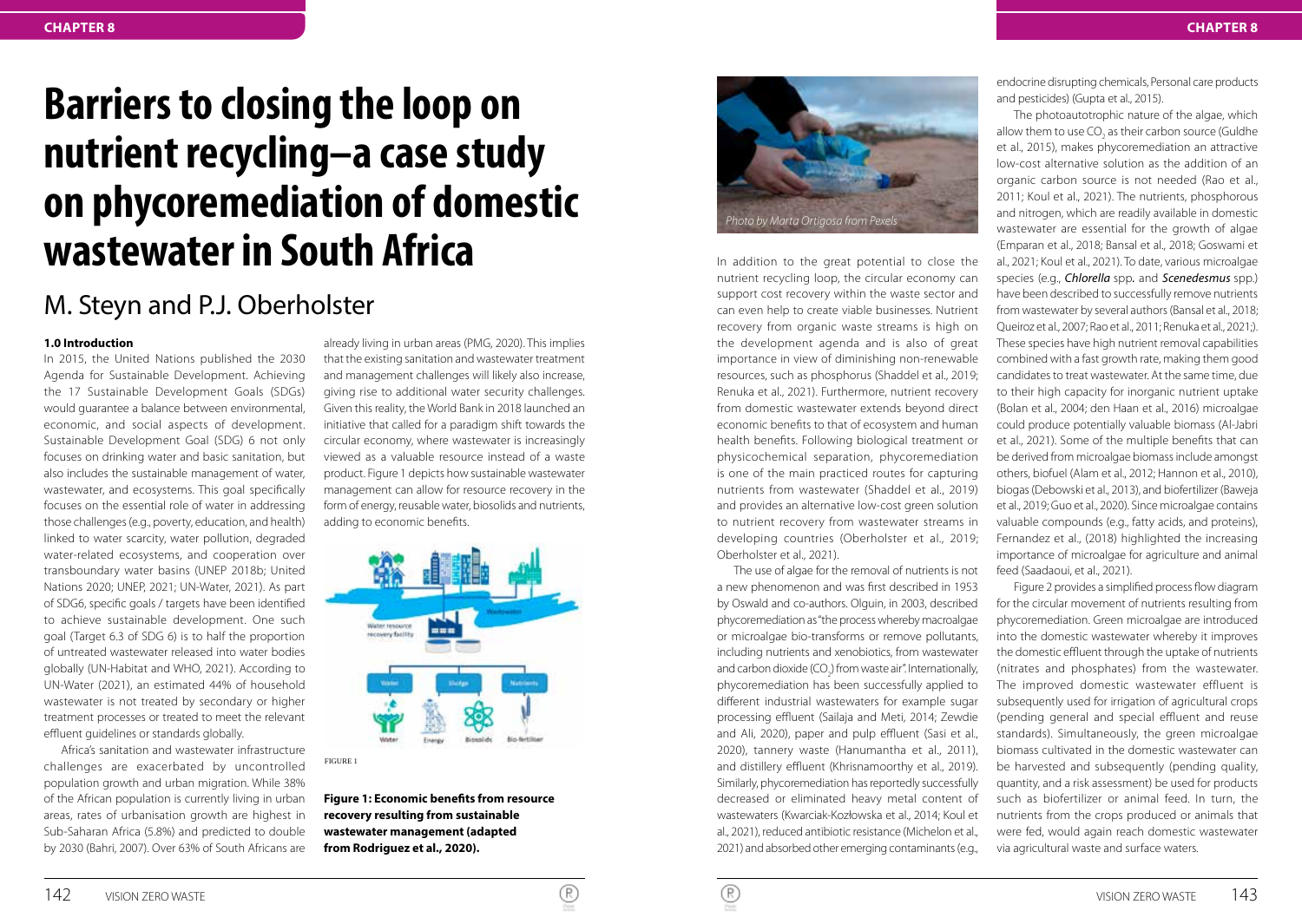# **Barriers to closing the loop on nutrient recycling–a case study on phycoremediation of domestic wastewater in South Africa**

# M. Steyn and P.J. Oberholster

#### **1.0 Introduction**

In 2015, the United Nations published the 2030 Agenda for Sustainable Development. Achieving the 17 Sustainable Development Goals (SDGs) would guarantee a balance between environmental, economic, and social aspects of development. Sustainable Development Goal (SDG) 6 not only focuses on drinking water and basic sanitation, but also includes the sustainable management of water, wastewater, and ecosystems. This goal specifically focuses on the essential role of water in addressing those challenges (e.g., poverty, education, and health) linked to water scarcity, water pollution, degraded water-related ecosystems, and cooperation over transboundary water basins (UNEP 2018b; United Nations 2020; UNEP, 2021; UN-Water, 2021). As part of SDG6, specific goals / targets have been identified to achieve sustainable development. One such goal (Target 6.3 of SDG 6) is to half the proportion of untreated wastewater released into water bodies globally (UN-Habitat and WHO, 2021). According to UN-Water (2021), an estimated 44% of household wastewater is not treated by secondary or higher treatment processes or treated to meet the relevant effluent guidelines or standards globally.

Africa's sanitation and wastewater infrastructure challenges are exacerbated by uncontrolled population growth and urban migration. While 38% of the African population is currently living in urban areas, rates of urbanisation growth are highest in Sub-Saharan Africa (5.8%) and predicted to double by 2030 (Bahri, 2007). Over 63% of South Africans are

already living in urban areas (PMG, 2020). This implies that the existing sanitation and wastewater treatment and management challenges will likely also increase, giving rise to additional water security challenges. Given this reality, the World Bank in 2018 launched an initiative that called for a paradigm shift towards the circular economy, where wastewater is increasingly viewed as a valuable resource instead of a waste product. Figure 1 depicts how sustainable wastewater management can allow for resource recovery in the form of energy, reusable water, biosolids and nutrients, adding to economic benefits.



FIGURE 1

**Figure 1: Economic benefits from resource recovery resulting from sustainable wastewater management (adapted from Rodriguez et al., 2020).**



In addition to the great potential to close the nutrient recycling loop, the circular economy can support cost recovery within the waste sector and can even help to create viable businesses. Nutrient recovery from organic waste streams is high on the development agenda and is also of great importance in view of diminishing non-renewable resources, such as phosphorus (Shaddel et al., 2019; Renuka et al., 2021). Furthermore, nutrient recovery from domestic wastewater extends beyond direct economic benefits to that of ecosystem and human health benefits. Following biological treatment or physicochemical separation, phycoremediation is one of the main practiced routes for capturing nutrients from wastewater (Shaddel et al., 2019) and provides an alternative low-cost green solution to nutrient recovery from wastewater streams in developing countries (Oberholster et al., 2019; Oberholster et al., 2021).

The use of algae for the removal of nutrients is not a new phenomenon and was first described in 1953 by Oswald and co-authors. Olguin, in 2003, described phycoremediation as "the process whereby macroalgae or microalgae bio-transforms or remove pollutants, including nutrients and xenobiotics, from wastewater and carbon dioxide  $(CO_2)$  from waste air". Internationally, phycoremediation has been successfully applied to different industrial wastewaters for example sugar processing effluent (Sailaja and Meti, 2014; Zewdie and Ali, 2020), paper and pulp effluent (Sasi et al., 2020), tannery waste (Hanumantha et al., 2011), and distillery effluent (Khrisnamoorthy et al., 2019). Similarly, phycoremediation has reportedly successfully decreased or eliminated heavy metal content of wastewaters (Kwarciak-Kozłowska et al., 2014; Koul et al., 2021), reduced antibiotic resistance (Michelon et al., 2021) and absorbed other emerging contaminants (e.g., endocrine disrupting chemicals, Personal care products and pesticides) (Gupta et al., 2015).

The photoautotrophic nature of the algae, which allow them to use  $CO<sub>2</sub>$  as their carbon source (Guldhe et al., 2015), makes phycoremediation an attractive low-cost alternative solution as the addition of an organic carbon source is not needed (Rao et al., 2011; Koul et al., 2021). The nutrients, phosphorous and nitrogen, which are readily available in domestic wastewater are essential for the growth of algae (Emparan et al., 2018; Bansal et al., 2018; Goswami et al., 2021; Koul et al., 2021). To date, various microalgae species (e.g., *Chlorella* spp*.* and *Scenedesmus* spp.) have been described to successfully remove nutrients from wastewater by several authors (Bansal et al., 2018; Queiroz et al., 2007; Rao et al., 2011; Renuka et al., 2021;). These species have high nutrient removal capabilities combined with a fast growth rate, making them good candidates to treat wastewater. At the same time, due to their high capacity for inorganic nutrient uptake (Bolan et al., 2004; den Haan et al., 2016) microalgae could produce potentially valuable biomass (Al-Jabri et al., 2021). Some of the multiple benefits that can be derived from microalgae biomass include amongst others, biofuel (Alam et al., 2012; Hannon et al., 2010), biogas (Debowski et al., 2013), and biofertilizer (Baweja et al., 2019; Guo et al., 2020). Since microalgae contains valuable compounds (e.g., fatty acids, and proteins), Fernandez et al., (2018) highlighted the increasing importance of microalgae for agriculture and animal feed (Saadaoui, et al., 2021).

Figure 2 provides a simplified process flow diagram for the circular movement of nutrients resulting from phycoremediation. Green microalgae are introduced into the domestic wastewater whereby it improves the domestic effluent through the uptake of nutrients (nitrates and phosphates) from the wastewater. The improved domestic wastewater effluent is subsequently used for irrigation of agricultural crops (pending general and special effluent and reuse standards). Simultaneously, the green microalgae biomass cultivated in the domestic wastewater can be harvested and subsequently (pending quality, quantity, and a risk assessment) be used for products such as biofertilizer or animal feed. In turn, the nutrients from the crops produced or animals that were fed, would again reach domestic wastewater via agricultural waste and surface waters.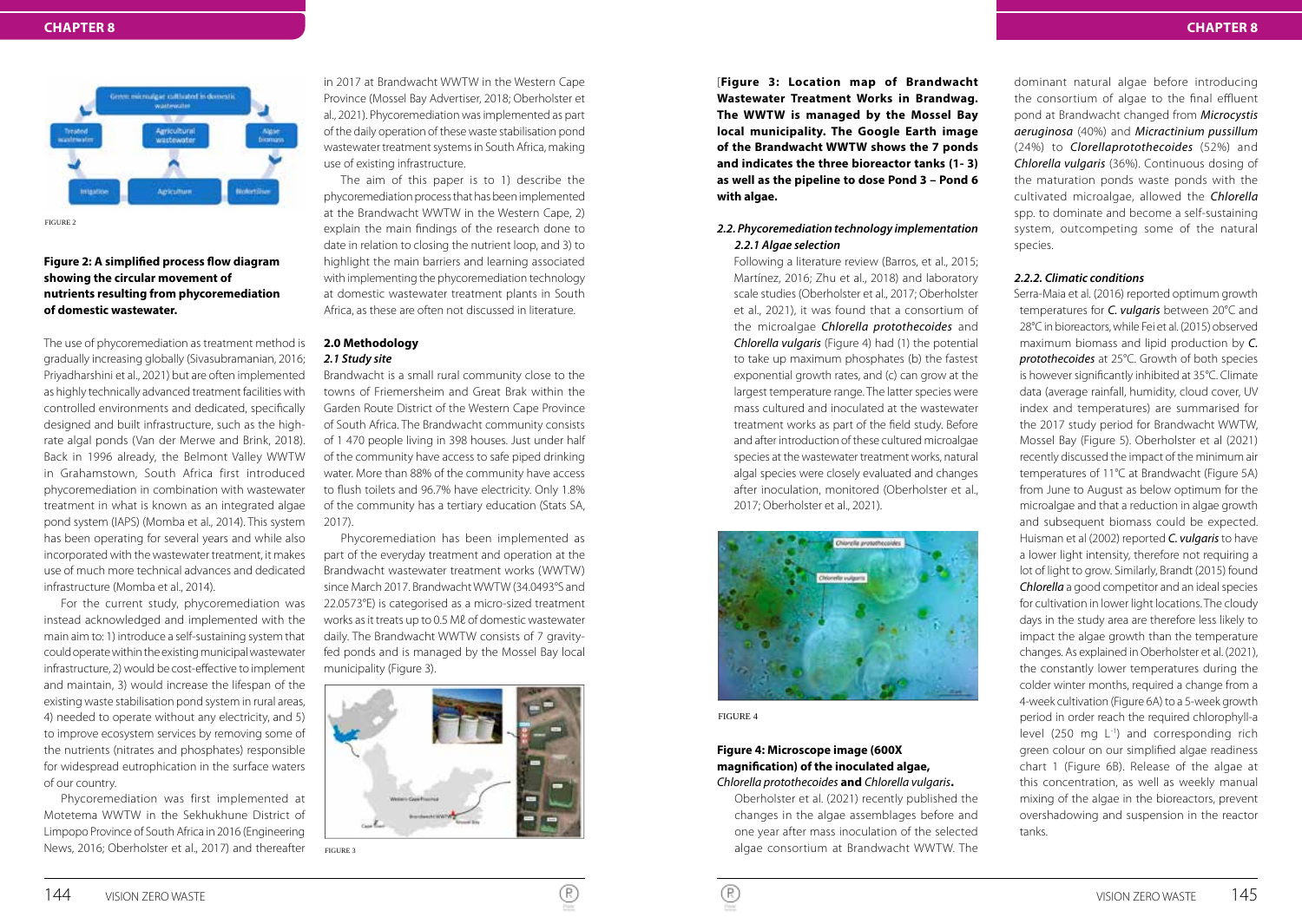

FIGURE 2

# **Figure 2: A simplified process flow diagram showing the circular movement of nutrients resulting from phycoremediation of domestic wastewater.**

The use of phycoremediation as treatment method is gradually increasing globally (Sivasubramanian, 2016; Priyadharshini et al., 2021) but are often implemented as highly technically advanced treatment facilities with controlled environments and dedicated, specifically designed and built infrastructure, such as the highrate algal ponds (Van der Merwe and Brink, 2018). Back in 1996 already, the Belmont Valley WWTW in Grahamstown, South Africa first introduced phycoremediation in combination with wastewater treatment in what is known as an integrated algae pond system (IAPS) (Momba et al., 2014). This system has been operating for several years and while also incorporated with the wastewater treatment, it makes use of much more technical advances and dedicated infrastructure (Momba et al., 2014).

For the current study, phycoremediation was instead acknowledged and implemented with the main aim to: 1) introduce a self-sustaining system that could operate within the existing municipal wastewater infrastructure, 2) would be cost-effective to implement and maintain, 3) would increase the lifespan of the existing waste stabilisation pond system in rural areas, 4) needed to operate without any electricity, and 5) to improve ecosystem services by removing some of the nutrients (nitrates and phosphates) responsible for widespread eutrophication in the surface waters of our country.

Phycoremediation was first implemented at Motetema WWTW in the Sekhukhune District of Limpopo Province of South Africa in 2016 (Engineering News, 2016; Oberholster et al., 2017) and thereafter

in 2017 at Brandwacht WWTW in the Western Cape Province (Mossel Bay Advertiser, 2018; Oberholster et al., 2021). Phycoremediation was implemented as part of the daily operation of these waste stabilisation pond wastewater treatment systems in South Africa, making use of existing infrastructure.

The aim of this paper is to 1) describe the phycoremediation process that has been implemented at the Brandwacht WWTW in the Western Cape, 2) explain the main findings of the research done to date in relation to closing the nutrient loop, and 3) to highlight the main barriers and learning associated with implementing the phycoremediation technology at domestic wastewater treatment plants in South Africa, as these are often not discussed in literature.

# **2.0 Methodology** *2.1 Study site*

Brandwacht is a small rural community close to the towns of Friemersheim and Great Brak within the Garden Route District of the Western Cape Province of South Africa. The Brandwacht community consists of 1 470 people living in 398 houses. Just under half of the community have access to safe piped drinking water. More than 88% of the community have access to flush toilets and 96.7% have electricity. Only 1.8% of the community has a tertiary education (Stats SA, 2017).

Phycoremediation has been implemented as part of the everyday treatment and operation at the Brandwacht wastewater treatment works (WWTW) since March 2017. Brandwacht WWTW (34.0493°S and 22.0573°E) is categorised as a micro-sized treatment works as it treats up to 0.5 Mℓ of domestic wastewater daily. The Brandwacht WWTW consists of 7 gravityfed ponds and is managed by the Mossel Bay local municipality (Figure 3).



FIGURE 3

[**Figure 3: Location map of Brandwacht Wastewater Treatment Works in Brandwag. The WWTW is managed by the Mossel Bay local municipality. The Google Earth image of the Brandwacht WWTW shows the 7 ponds and indicates the three bioreactor tanks (1- 3) as well as the pipeline to dose Pond 3 – Pond 6 with algae.**

# *2.2. Phycoremediation technology implementation 2.2.1 Algae selection*

Following a literature review (Barros, et al., 2015; Martínez, 2016; Zhu et al., 2018) and laboratory scale studies (Oberholster et al., 2017; Oberholster et al., 2021), it was found that a consortium of the microalgae *Chlorella protothecoides* and *Chlorella vulgaris* (Figure 4) had (1) the potential to take up maximum phosphates (b) the fastest exponential growth rates, and (c) can grow at the largest temperature range. The latter species were mass cultured and inoculated at the wastewater treatment works as part of the field study. Before and after introduction of these cultured microalgae species at the wastewater treatment works, natural algal species were closely evaluated and changes after inoculation, monitored (Oberholster et al., 2017; Oberholster et al., 2021).



FIGURE 4

# **Figure 4: Microscope image (600X magnification) of the inoculated algae,**  *Chlorella protothecoides* **and** *Chlorella vulgaris***.**

Oberholster et al. (2021) recently published the changes in the algae assemblages before and one year after mass inoculation of the selected algae consortium at Brandwacht WWTW. The

dominant natural algae before introducing the consortium of algae to the final effluent pond at Brandwacht changed from *Microcystis aeruginosa* (40%) and *Micractinium pussillum* (24%) to *Clorellaprotothecoides* (52%) and *Chlorella vulgaris* (36%). Continuous dosing of the maturation ponds waste ponds with the cultivated microalgae, allowed the *Chlorella*  spp. to dominate and become a self-sustaining system, outcompeting some of the natural species.

#### *2.2.2. Climatic conditions*

Serra-Maia et al. (2016) reported optimum growth temperatures for *C. vulgaris* between 20°C and 28°C in bioreactors, while Fei et al. (2015) observed maximum biomass and lipid production by *C. protothecoides* at 25°C. Growth of both species is however significantly inhibited at 35°C. Climate data (average rainfall, humidity, cloud cover, UV index and temperatures) are summarised for the 2017 study period for Brandwacht WWTW, Mossel Bay (Figure 5). Oberholster et al (2021) recently discussed the impact of the minimum air temperatures of 11°C at Brandwacht (Figure 5A) from June to August as below optimum for the microalgae and that a reduction in algae growth and subsequent biomass could be expected. Huisman et al (2002) reported *C. vulgaris* to have a lower light intensity, therefore not requiring a lot of light to grow. Similarly, Brandt (2015) found *Chlorella* a good competitor and an ideal species for cultivation in lower light locations. The cloudy days in the study area are therefore less likely to impact the algae growth than the temperature changes. As explained in Oberholster et al. (2021), the constantly lower temperatures during the colder winter months, required a change from a 4-week cultivation (Figure 6A) to a 5-week growth period in order reach the required chlorophyll-a level (250 mg  $L^{-1}$ ) and corresponding rich green colour on our simplified algae readiness chart 1 (Figure 6B). Release of the algae at this concentration, as well as weekly manual mixing of the algae in the bioreactors, prevent overshadowing and suspension in the reactor tanks.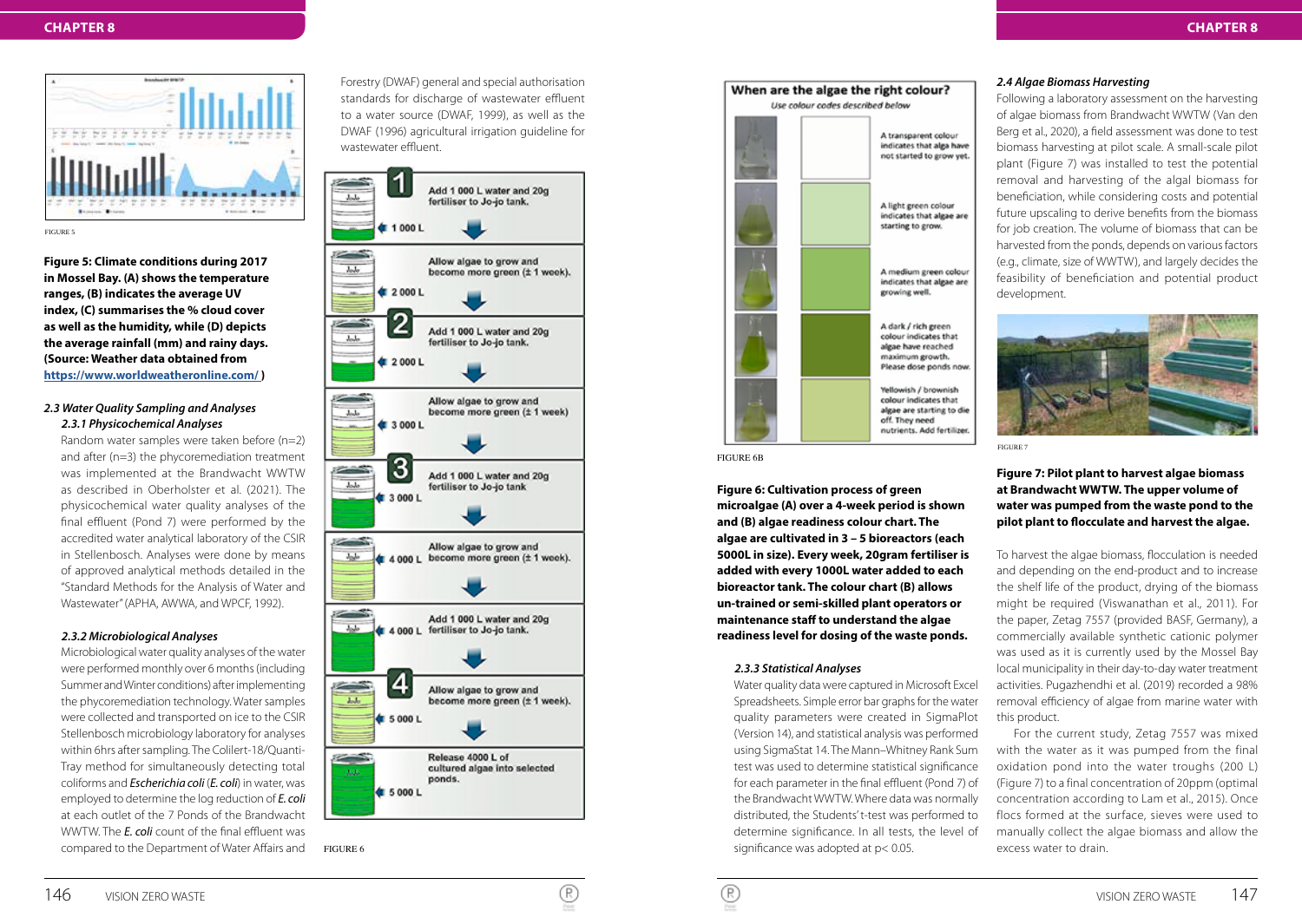

**Figure 5: Climate conditions during 2017 in Mossel Bay. (A) shows the temperature ranges, (B) indicates the average UV index, (C) summarises the % cloud cover as well as the humidity, while (D) depicts the average rainfall (mm) and rainy days. (Source: Weather data obtained from https://www.worldweatheronline.com/ )**

### *2.3 Water Quality Sampling and Analyses 2.3.1 Physicochemical Analyses*

Random water samples were taken before (n=2) and after (n=3) the phycoremediation treatment was implemented at the Brandwacht WWTW as described in Oberholster et al. (2021). The physicochemical water quality analyses of the final effluent (Pond 7) were performed by the accredited water analytical laboratory of the CSIR in Stellenbosch. Analyses were done by means of approved analytical methods detailed in the "Standard Methods for the Analysis of Water and Wastewater" (APHA, AWWA, and WPCF, 1992).

# *2.3.2 Microbiological Analyses*

Microbiological water quality analyses of the water were performed monthly over 6 months (including Summer and Winter conditions) after implementing the phycoremediation technology. Water samples were collected and transported on ice to the CSIR Stellenbosch microbiology laboratory for analyses within 6hrs after sampling. The Colilert-18/Quanti-Tray method for simultaneously detecting total coliforms and *Escherichia coli* (*E. coli*) in water, was employed to determine the log reduction of *E. coli* at each outlet of the 7 Ponds of the Brandwacht WWTW. The *E. coli* count of the final effluent was compared to the Department of Water Affairs and Forestry (DWAF) general and special authorisation standards for discharge of wastewater effluent to a water source (DWAF, 1999), as well as the DWAF (1996) agricultural irrigation guideline for wastewater effluent.



FIGURE 6



FIGURE 6B

**Figure 6: Cultivation process of green microalgae (A) over a 4-week period is shown and (B) algae readiness colour chart. The algae are cultivated in 3 – 5 bioreactors (each 5000L in size). Every week, 20gram fertiliser is added with every 1000L water added to each bioreactor tank. The colour chart (B) allows un-trained or semi-skilled plant operators or maintenance staff to understand the algae readiness level for dosing of the waste ponds.**

#### *2.3.3 Statistical Analyses*

Water quality data were captured in Microsoft Excel Spreadsheets. Simple error bar graphs for the water quality parameters were created in SigmaPlot (Version 14), and statistical analysis was performed using SigmaStat 14. The Mann–Whitney Rank Sum test was used to determine statistical significance for each parameter in the final effluent (Pond 7) of the Brandwacht WWTW. Where data was normally distributed, the Students' t-test was performed to determine significance. In all tests, the level of significance was adopted at p< 0.05.

#### *2.4 Algae Biomass Harvesting*

Following a laboratory assessment on the harvesting of algae biomass from Brandwacht WWTW (Van den Berg et al., 2020), a field assessment was done to test biomass harvesting at pilot scale. A small-scale pilot plant (Figure 7) was installed to test the potential removal and harvesting of the algal biomass for beneficiation, while considering costs and potential future upscaling to derive benefits from the biomass for job creation. The volume of biomass that can be harvested from the ponds, depends on various factors (e.g., climate, size of WWTW), and largely decides the feasibility of beneficiation and potential product development.



FIGURE 7

# **Figure 7: Pilot plant to harvest algae biomass at Brandwacht WWTW. The upper volume of water was pumped from the waste pond to the pilot plant to flocculate and harvest the algae.**

To harvest the algae biomass, flocculation is needed and depending on the end-product and to increase the shelf life of the product, drying of the biomass might be required (Viswanathan et al., 2011). For the paper, Zetag 7557 (provided BASF, Germany), a commercially available synthetic cationic polymer was used as it is currently used by the Mossel Bay local municipality in their day-to-day water treatment activities. Pugazhendhi et al. (2019) recorded a 98% removal efficiency of algae from marine water with this product.

For the current study, Zetag 7557 was mixed with the water as it was pumped from the final oxidation pond into the water troughs (200 L) (Figure 7) to a final concentration of 20ppm (optimal concentration according to Lam et al., 2015). Once flocs formed at the surface, sieves were used to manually collect the algae biomass and allow the excess water to drain.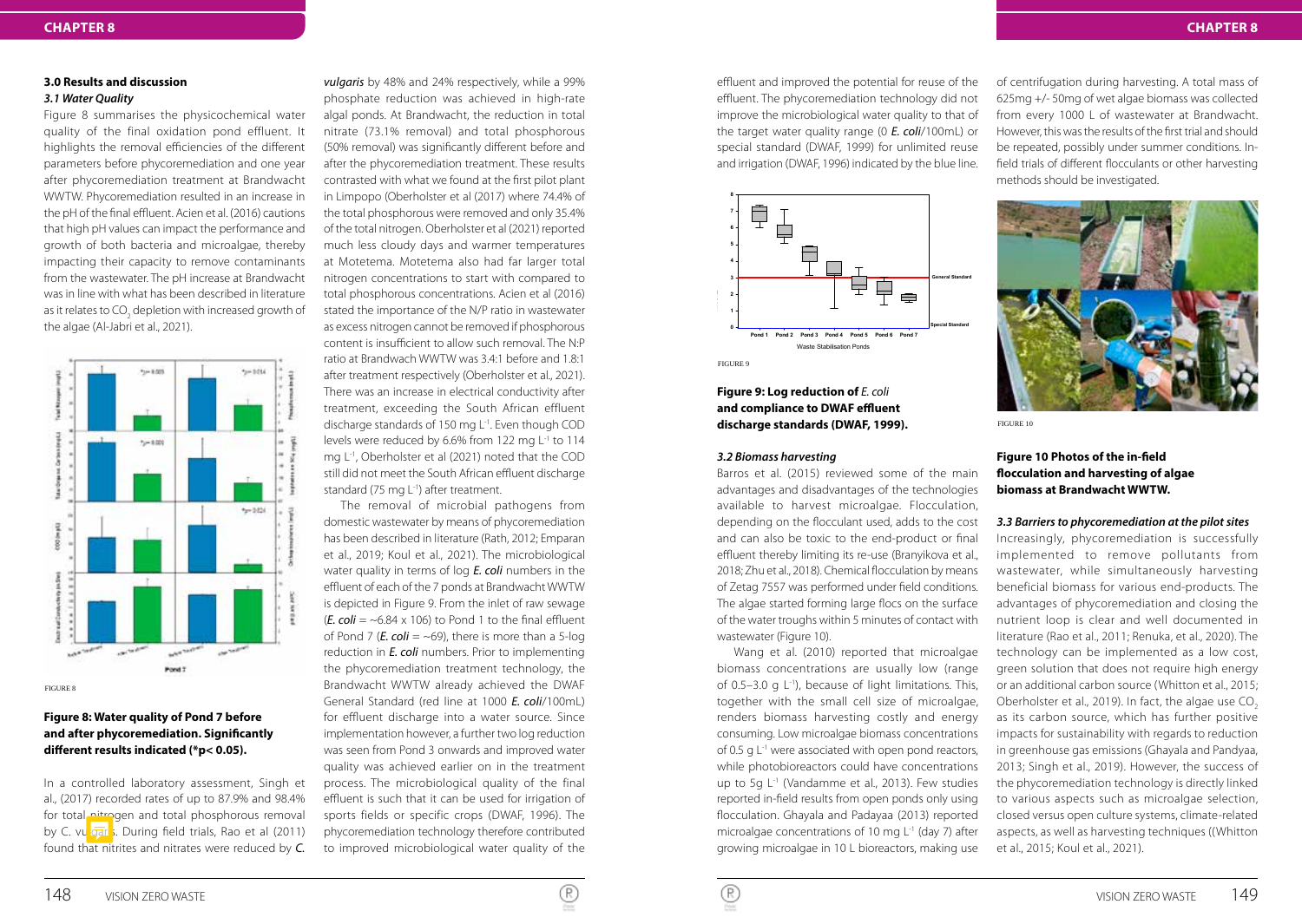#### **3.0 Results and discussion** *3.1 Water Quality*

Figure 8 summarises the physicochemical water quality of the final oxidation pond effluent. It highlights the removal efficiencies of the different parameters before phycoremediation and one year after phycoremediation treatment at Brandwacht WWTW. Phycoremediation resulted in an increase in the pH of the final effluent. Acien et al. (2016) cautions that high pH values can impact the performance and growth of both bacteria and microalgae, thereby impacting their capacity to remove contaminants from the wastewater. The pH increase at Brandwacht was in line with what has been described in literature as it relates to CO<sub>2</sub> depletion with increased growth of the algae (Al-Jabri et al., 2021).



#### FIGURE 8

# **Figure 8: Water quality of Pond 7 before and after phycoremediation. Significantly different results indicated (\*p< 0.05).**

In a controlled laboratory assessment, Singh et al., (2017) recorded rates of up to 87.9% and 98.4% for total nitrogen and total phosphorous removal by C. vulgars. During field trials, Rao et al (2011) found that nitrites and nitrates were reduced by *C.* 

*vulgaris* by 48% and 24% respectively, while a 99% phosphate reduction was achieved in high-rate algal ponds. At Brandwacht, the reduction in total nitrate (73.1% removal) and total phosphorous (50% removal) was significantly different before and after the phycoremediation treatment. These results contrasted with what we found at the first pilot plant in Limpopo (Oberholster et al (2017) where 74.4% of the total phosphorous were removed and only 35.4% of the total nitrogen. Oberholster et al (2021) reported much less cloudy days and warmer temperatures at Motetema. Motetema also had far larger total nitrogen concentrations to start with compared to total phosphorous concentrations. Acien et al (2016) stated the importance of the N/P ratio in wastewater as excess nitrogen cannot be removed if phosphorous content is insufficient to allow such removal. The N:P ratio at Brandwach WWTW was 3.4:1 before and 1.8:1 after treatment respectively (Oberholster et al., 2021). There was an increase in electrical conductivity after treatment, exceeding the South African effluent discharge standards of 150 mg L-1. Even though COD levels were reduced by 6.6% from 122 mg L<sup>-1</sup> to 114 mg L-1, Oberholster et al (2021) noted that the COD still did not meet the South African effluent discharge standard (75 mg L<sup>-1</sup>) after treatment.

The removal of microbial pathogens from domestic wastewater by means of phycoremediation has been described in literature (Rath, 2012; Emparan et al., 2019; Koul et al., 2021). The microbiological water quality in terms of log *E. coli* numbers in the effluent of each of the 7 ponds at Brandwacht WWTW is depicted in Figure 9. From the inlet of raw sewage ( $E.$  coli =  $\sim$  6.84 x 106) to Pond 1 to the final effluent of Pond 7 ( $\bm{E}$ . coli = ~69), there is more than a 5-log reduction in *E. coli* numbers. Prior to implementing the phycoremediation treatment technology, the Brandwacht WWTW already achieved the DWAF General Standard (red line at 1000 *E. coli*/100mL) for effluent discharge into a water source. Since implementation however, a further two log reduction was seen from Pond 3 onwards and improved water quality was achieved earlier on in the treatment process. The microbiological quality of the final effluent is such that it can be used for irrigation of sports fields or specific crops (DWAF, 1996). The phycoremediation technology therefore contributed to improved microbiological water quality of the

effluent and improved the potential for reuse of the effluent. The phycoremediation technology did not improve the microbiological water quality to that of the target water quality range (0 *E. coli*/100mL) or special standard (DWAF, 1999) for unlimited reuse and irrigation (DWAF, 1996) indicated by the blue line.



**Figure 9: Log reduction of** *E. coli* **and compliance to DWAF effluent discharge standards (DWAF, 1999).**

#### *3.2 Biomass harvesting*

Barros et al. (2015) reviewed some of the main advantages and disadvantages of the technologies available to harvest microalgae. Flocculation, depending on the flocculant used, adds to the cost and can also be toxic to the end-product or final effluent thereby limiting its re-use (Branyikova et al., 2018; Zhu et al., 2018). Chemical flocculation by means of Zetag 7557 was performed under field conditions. The algae started forming large flocs on the surface of the water troughs within 5 minutes of contact with wastewater (Figure 10).

Wang et al. (2010) reported that microalgae biomass concentrations are usually low (range of 0.5–3.0 g  $L^{-1}$ ), because of light limitations. This, together with the small cell size of microalgae, renders biomass harvesting costly and energy consuming. Low microalgae biomass concentrations of 0.5 g L<sup>-1</sup> were associated with open pond reactors, while photobioreactors could have concentrations up to 5g L<sup>-1</sup> (Vandamme et al., 2013). Few studies reported in-field results from open ponds only using flocculation. Ghayala and Padayaa (2013) reported microalgae concentrations of 10 mg L-1 (day 7) after growing microalgae in 10 L bioreactors, making use of centrifugation during harvesting. A total mass of **4** 625mg +/- 50mg of wet algae biomass was collected **3 General Standard** from every 1000 L of wastewater at Brandwacht. **2** However, this was the results of the first trial and should **1** be repeated, possibly under summer conditions. In-**0 Special Standard** field trials of different flocculants or other harvesting **Pond 1 Pond 2 Pond 3 Pond 4 Pond 5 Pond 6 Pond 7** methods should be investigated.



FIGURE 10

**7**

# **Figure 10 Photos of the in-field flocculation and harvesting of algae biomass at Brandwacht WWTW.**

#### *3.3 Barriers to phycoremediation at the pilot sites*

Increasingly, phycoremediation is successfully implemented to remove pollutants from wastewater, while simultaneously harvesting beneficial biomass for various end-products. The advantages of phycoremediation and closing the nutrient loop is clear and well documented in literature (Rao et al., 2011; Renuka, et al., 2020). The technology can be implemented as a low cost, green solution that does not require high energy or an additional carbon source (Whitton et al., 2015; Oberholster et al., 2019). In fact, the algae use CO<sub>2</sub> as its carbon source, which has further positive impacts for sustainability with regards to reduction in greenhouse gas emissions (Ghayala and Pandyaa, 2013; Singh et al., 2019). However, the success of the phycoremediation technology is directly linked to various aspects such as microalgae selection, closed versus open culture systems, climate-related aspects, as well as harvesting techniques ((Whitton et al., 2015; Koul et al., 2021).

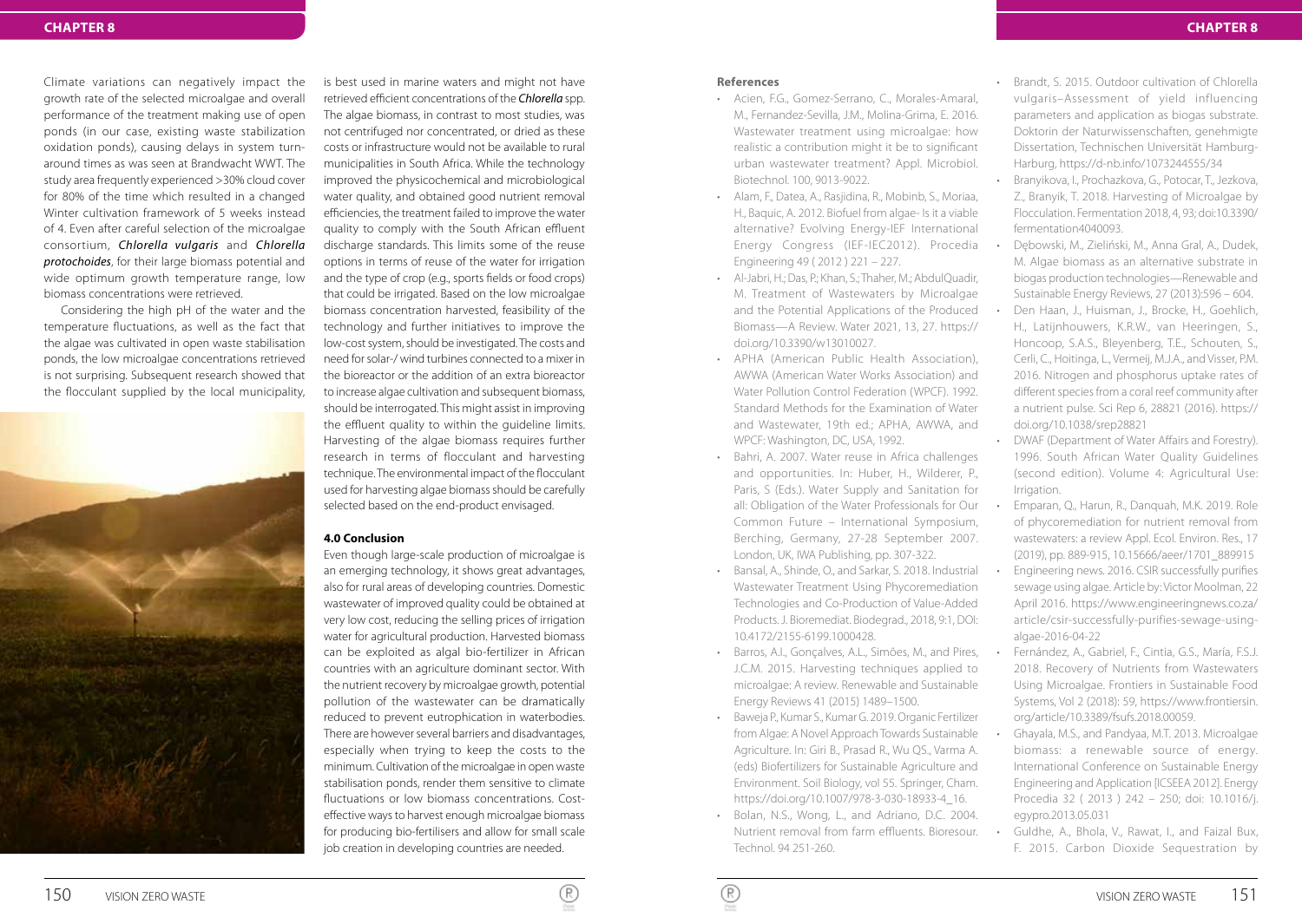Climate variations can negatively impact the growth rate of the selected microalgae and overall performance of the treatment making use of open ponds (in our case, existing waste stabilization oxidation ponds), causing delays in system turnaround times as was seen at Brandwacht WWT. The study area frequently experienced >30% cloud cover for 80% of the time which resulted in a changed Winter cultivation framework of 5 weeks instead of 4. Even after careful selection of the microalgae consortium, *Chlorella vulgaris* and *Chlorella protochoides*, for their large biomass potential and wide optimum growth temperature range, low biomass concentrations were retrieved.

Considering the high pH of the water and the temperature fluctuations, as well as the fact that the algae was cultivated in open waste stabilisation ponds, the low microalgae concentrations retrieved is not surprising. Subsequent research showed that the flocculant supplied by the local municipality,



is best used in marine waters and might not have retrieved efficient concentrations of the *Chlorella* spp. The algae biomass, in contrast to most studies, was not centrifuged nor concentrated, or dried as these costs or infrastructure would not be available to rural municipalities in South Africa. While the technology improved the physicochemical and microbiological water quality, and obtained good nutrient removal efficiencies, the treatment failed to improve the water quality to comply with the South African effluent discharge standards. This limits some of the reuse options in terms of reuse of the water for irrigation and the type of crop (e.g., sports fields or food crops) that could be irrigated. Based on the low microalgae biomass concentration harvested, feasibility of the technology and further initiatives to improve the low-cost system, should be investigated. The costs and need for solar-/ wind turbines connected to a mixer in the bioreactor or the addition of an extra bioreactor to increase algae cultivation and subsequent biomass, should be interrogated. This might assist in improving the effluent quality to within the guideline limits. Harvesting of the algae biomass requires further research in terms of flocculant and harvesting technique. The environmental impact of the flocculant used for harvesting algae biomass should be carefully selected based on the end-product envisaged.

#### **4.0 Conclusion**

Even though large-scale production of microalgae is an emerging technology, it shows great advantages, also for rural areas of developing countries. Domestic wastewater of improved quality could be obtained at very low cost, reducing the selling prices of irrigation water for agricultural production. Harvested biomass can be exploited as algal bio-fertilizer in African countries with an agriculture dominant sector. With the nutrient recovery by microalgae growth, potential pollution of the wastewater can be dramatically reduced to prevent eutrophication in waterbodies. There are however several barriers and disadvantages, especially when trying to keep the costs to the minimum. Cultivation of the microalgae in open waste stabilisation ponds, render them sensitive to climate fluctuations or low biomass concentrations. Costeffective ways to harvest enough microalgae biomass for producing bio-fertilisers and allow for small scale job creation in developing countries are needed.

#### **References**

- Acien, F.G., Gomez-Serrano, C., Morales-Amaral, M., Fernandez-Sevilla, J.M., Molina-Grima, E. 2016. Wastewater treatment using microalgae: how realistic a contribution might it be to significant urban wastewater treatment? Appl. Microbiol. Biotechnol. 100, 9013-9022.
- Alam, F., Datea, A., Rasjidina, R., Mobinb, S., Moriaa, H., Baquic, A. 2012. Biofuel from algae- Is it a viable alternative? Evolving Energy-IEF International Energy Congress (IEF-IEC2012). Procedia Engineering 49 ( 2012 ) 221 – 227.
- Al-Jabri, H.; Das, P.; Khan, S.; Thaher, M.; AbdulQuadir, M. Treatment of Wastewaters by Microalgae and the Potential Applications of the Produced Biomass—A Review. Water 2021, 13, 27. https:// doi.org/10.3390/w13010027.
- APHA (American Public Health Association), AWWA (American Water Works Association) and Water Pollution Control Federation (WPCF). 1992. Standard Methods for the Examination of Water and Wastewater, 19th ed.; APHA, AWWA, and WPCF: Washington, DC, USA, 1992.
- Bahri, A. 2007. Water reuse in Africa challenges and opportunities. In: Huber, H., Wilderer, P., Paris, S (Eds.). Water Supply and Sanitation for all: Obligation of the Water Professionals for Our Common Future – International Symposium, Berching, Germany, 27-28 September 2007. London, UK, IWA Publishing, pp. 307-322.
- Bansal, A., Shinde, O., and Sarkar, S. 2018. Industrial Wastewater Treatment Using Phycoremediation Technologies and Co-Production of Value-Added Products. J. Bioremediat. Biodegrad., 2018, 9:1, DOI: 10.4172/2155-6199.1000428.
- Barros, A.I., Gonçalves, A.L., Simões, M., and Pires, J.C.M. 2015. Harvesting techniques applied to microalgae: A review. Renewable and Sustainable Energy Reviews 41 (2015) 1489–1500.
- Baweja P., Kumar S., Kumar G. 2019. Organic Fertilizer from Algae: A Novel Approach Towards Sustainable Agriculture. In: Giri B., Prasad R., Wu QS., Varma A. (eds) Biofertilizers for Sustainable Agriculture and Environment. Soil Biology, vol 55. Springer, Cham. https://doi.org/10.1007/978-3-030-18933-4\_16.
- Bolan, N.S., Wong, L., and Adriano, D.C. 2004. Nutrient removal from farm effluents. Bioresour. Technol. 94 251-260.
- Brandt, S. 2015. Outdoor cultivation of Chlorella vulgaris–Assessment of yield influencing parameters and application as biogas substrate. Doktorin der Naturwissenschaften, genehmigte Dissertation, Technischen Universität Hamburg-Harburg, https://d-nb.info/1073244555/34
- Branyikova, I., Prochazkova, G., Potocar, T., Jezkova, Z., Branyik, T. 2018. Harvesting of Microalgae by Flocculation. Fermentation 2018, 4, 93; doi:10.3390/ fermentation4040093.
- Dębowski, M., Zieliński, M., Anna Gral, A., Dudek, M. Algae biomass as an alternative substrate in biogas production technologies—Renewable and Sustainable Energy Reviews, 27 (2013):596 – 604.
- Den Haan, J., Huisman, J., Brocke, H., Goehlich, H., Latijnhouwers, K.R.W., van Heeringen, S., Honcoop, S.A.S., Bleyenberg, T.E., Schouten, S., Cerli, C., Hoitinga, L., Vermeij, M.J.A., and Visser, P.M. 2016. Nitrogen and phosphorus uptake rates of different species from a coral reef community after a nutrient pulse. Sci Rep 6, 28821 (2016). https:// doi.org/10.1038/srep28821
- DWAF (Department of Water Affairs and Forestry). 1996. South African Water Quality Guidelines (second edition). Volume 4: Agricultural Use: Irrigation.
- Emparan, Q., Harun, R., Danquah, M.K. 2019. Role of phycoremediation for nutrient removal from wastewaters: a review Appl. Ecol. Environ. Res., 17 (2019), pp. 889-915, 10.15666/aeer/1701\_889915
- Engineering news. 2016. CSIR successfully purifies sewage using algae. Article by: Victor Moolman, 22 April 2016. https://www.engineeringnews.co.za/ article/csir-successfully-purifies-sewage-usingalgae-2016-04-22
- Fernández, A., Gabriel, F., Cintia, G.S., María, F.S.J. 2018. Recovery of Nutrients from Wastewaters Using Microalgae. Frontiers in Sustainable Food Systems, Vol 2 (2018): 59, https://www.frontiersin. org/article/10.3389/fsufs.2018.00059.
- Ghayala, M.S., and Pandyaa, M.T. 2013. Microalgae biomass: a renewable source of energy. International Conference on Sustainable Energy Engineering and Application [ICSEEA 2012]. Energy Procedia 32 ( 2013 ) 242 – 250; doi: 10.1016/j. egypro.2013.05.031
- Guldhe, A., Bhola, V., Rawat, I., and Faizal Bux, F. 2015. Carbon Dioxide Sequestration by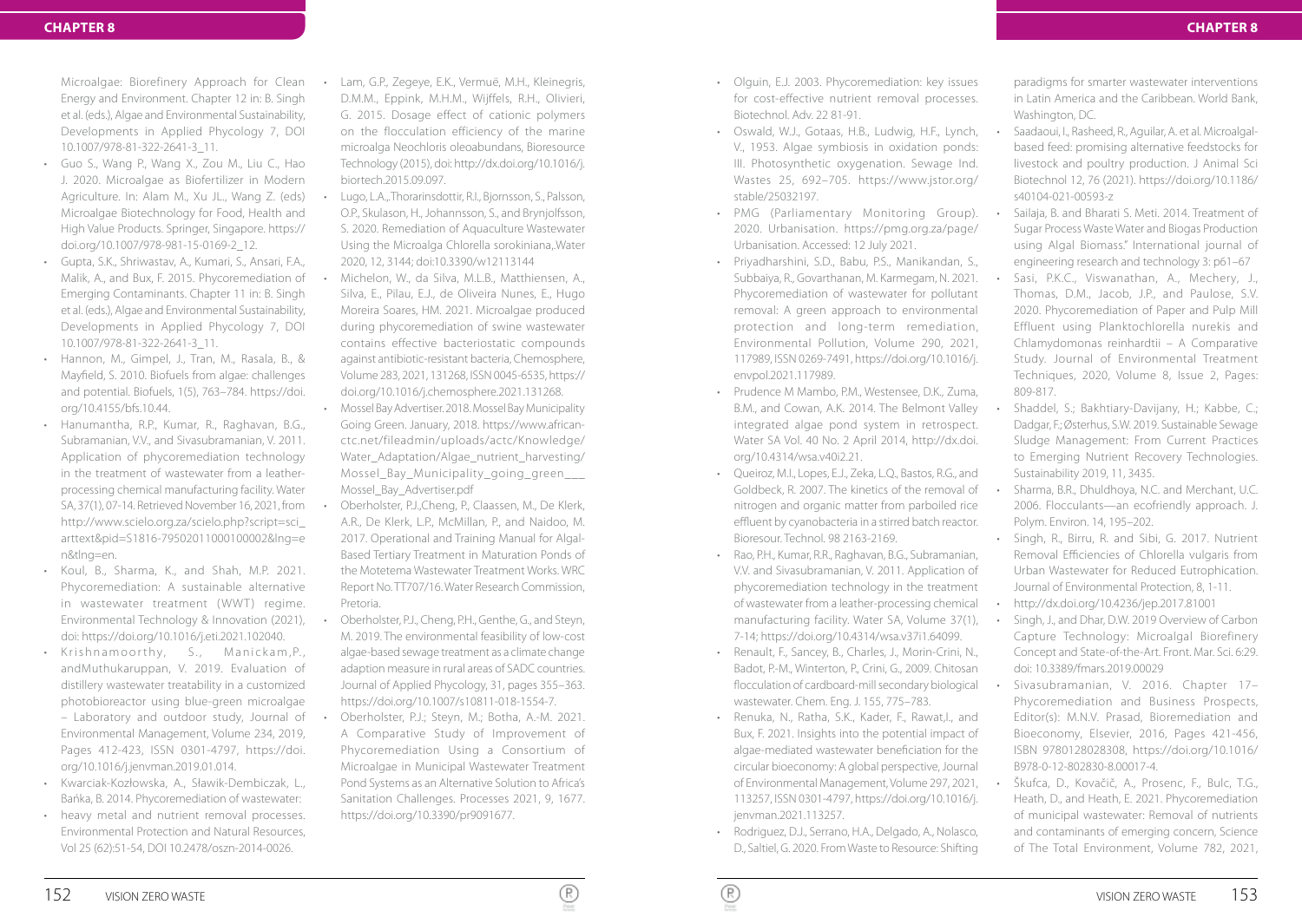Microalgae: Biorefinery Approach for Clean Energy and Environment. Chapter 12 in: B. Singh et al. (eds.), Algae and Environmental Sustainability, Developments in Applied Phycology 7, DOI 10.1007/978-81-322-2641-3\_11.

- Guo S., Wang P., Wang X., Zou M., Liu C., Hao J. 2020. Microalgae as Biofertilizer in Modern Agriculture. In: Alam M., Xu JL., Wang Z. (eds) Microalgae Biotechnology for Food, Health and High Value Products. Springer, Singapore. https:// doi.org/10.1007/978-981-15-0169-2\_12.
- Gupta, S.K., Shriwastav, A., Kumari, S., Ansari, F.A., Malik, A., and Bux, F. 2015. Phycoremediation of Emerging Contaminants. Chapter 11 in: B. Singh et al. (eds.), Algae and Environmental Sustainability, Developments in Applied Phycology 7, DOI 10.1007/978-81-322-2641-3\_11.
- Hannon, M., Gimpel, J., Tran, M., Rasala, B., & Mayfield, S. 2010. Biofuels from algae: challenges and potential. Biofuels, 1(5), 763–784. https://doi. org/10.4155/bfs.10.44.
- Hanumantha, R.P., Kumar, R., Raghavan, B.G., Subramanian, V.V., and Sivasubramanian, V. 2011. Application of phycoremediation technology in the treatment of wastewater from a leatherprocessing chemical manufacturing facility. Water SA, 37(1), 07-14. Retrieved November 16, 2021, from http://www.scielo.org.za/scielo.php?script=sci\_ arttext&pid=S1816-79502011000100002&lng=e n&tlng=en.
- Koul, B., Sharma, K., and Shah, M.P. 2021. Phycoremediation: A sustainable alternative in wastewater treatment (WWT) regime. Environmental Technology & Innovation (2021), doi: https://doi.org/10.1016/j.eti.2021.102040.
- Krishnamoorthy, S., Manickam, P., andMuthukaruppan, V. 2019. Evaluation of distillery wastewater treatability in a customized photobioreactor using blue-green microalgae
- Laboratory and outdoor study, Journal of Environmental Management, Volume 234, 2019, Pages 412-423, ISSN 0301-4797, https://doi. org/10.1016/j.jenvman.2019.01.014.
- Kwarciak-Kozłowska, A., Sławik-Dembiczak, L., Bańka, B. 2014. Phycoremediation of wastewater:
- heavy metal and nutrient removal processes. Environmental Protection and Natural Resources, Vol 25 (62):51-54, DOI 10.2478/oszn-2014-0026.
- Lam, G.P., Zegeye, E.K., Vermuë, M.H., Kleinegris, D.M.M., Eppink, M.H.M., Wijffels, R.H., Olivieri, G. 2015. Dosage effect of cationic polymers on the flocculation efficiency of the marine microalga Neochloris oleoabundans, Bioresource Technology (2015), doi: http://dx.doi.org/10.1016/j. biortech.2015.09.097.
- Lugo, L.A.,.Thorarinsdottir, R.I., Bjornsson, S., Palsson, O.P., Skulason, H., Johannsson, S., and Brynjolfsson, S. 2020. Remediation of Aquaculture Wastewater Using the Microalga Chlorella sorokiniana,.Water 2020, 12, 3144; doi:10.3390/w12113144
- Michelon, W., da Silva, M.L.B., Matthiensen, A., Silva, E., Pilau, E.J., de Oliveira Nunes, E., Hugo Moreira Soares, HM. 2021. Microalgae produced during phycoremediation of swine wastewater contains effective bacteriostatic compounds against antibiotic-resistant bacteria, Chemosphere, Volume 283, 2021, 131268, ISSN 0045-6535, https:// doi.org/10.1016/j.chemosphere.2021.131268.
- Mossel Bay Advertiser. 2018. Mossel Bay Municipality Going Green. January, 2018. https://www.africanctc.net/fileadmin/uploads/actc/Knowledge/ Water\_Adaptation/Algae\_nutrient\_harvesting/ Mossel\_Bay\_Municipality\_going\_green\_\_\_ Mossel\_Bay\_Advertiser.pdf
- Oberholster, P.J.,Cheng, P., Claassen, M., De Klerk, A.R., De Klerk, L.P., McMillan, P., and Naidoo, M. 2017. Operational and Training Manual for Algal-Based Tertiary Treatment in Maturation Ponds of the Motetema Wastewater Treatment Works. WRC Report No. TT707/16. Water Research Commission, Pretoria.
- Oberholster, P.J., Cheng, P.H., Genthe, G., and Steyn, M. 2019. The environmental feasibility of low-cost algae-based sewage treatment as a climate change adaption measure in rural areas of SADC countries. Journal of Applied Phycology, 31, pages 355–363. https://doi.org/10.1007/s10811-018-1554-7.
- Oberholster, P.J.; Steyn, M.; Botha, A.-M. 2021. A Comparative Study of Improvement of Phycoremediation Using a Consortium of Microalgae in Municipal Wastewater Treatment Pond Systems as an Alternative Solution to Africa's Sanitation Challenges. Processes 2021, 9, 1677. https://doi.org/10.3390/pr9091677.
- Olguin, E.J. 2003. Phycoremediation: key issues for cost-effective nutrient removal processes. Biotechnol. Adv. 22 81-91.
- Oswald, W.J., Gotaas, H.B., Ludwig, H.F., Lynch, V., 1953. Algae symbiosis in oxidation ponds: III. Photosynthetic oxygenation. Sewage Ind. Wastes 25, 692–705. https://www.jstor.org/ stable/25032197.
- PMG (Parliamentary Monitoring Group). 2020. Urbanisation. https://pmg.org.za/page/ Urbanisation. Accessed: 12 July 2021.
- Priyadharshini, S.D., Babu, P.S., Manikandan, S., Subbaiya, R., Govarthanan, M. Karmegam, N. 2021. Phycoremediation of wastewater for pollutant removal: A green approach to environmental protection and long-term remediation, Environmental Pollution, Volume 290, 2021, 117989, ISSN 0269-7491, https://doi.org/10.1016/j. envpol.2021.117989.
- Prudence M Mambo, P.M., Westensee, D.K., Zuma, B.M., and Cowan, A.K. 2014. The Belmont Valley integrated algae pond system in retrospect. Water SA Vol. 40 No. 2 April 2014, http://dx.doi. org/10.4314/wsa.v40i2.21.
- Queiroz, M.I., Lopes, E.J., Zeka, L.Q., Bastos, R.G., and Goldbeck, R. 2007. The kinetics of the removal of nitrogen and organic matter from parboiled rice effluent by cyanobacteria in a stirred batch reactor. Bioresour. Technol. 98 2163-2169.
- Rao, P.H., Kumar, R.R., Raghavan, B.G., Subramanian, V.V. and Sivasubramanian, V. 2011. Application of phycoremediation technology in the treatment of wastewater from a leather-processing chemical manufacturing facility. Water SA, Volume 37(1), 7-14; https://doi.org/10.4314/wsa.v37i1.64099.
- Renault, F., Sancey, B., Charles, J., Morin-Crini, N., Badot, P.-M., Winterton, P., Crini, G., 2009. Chitosan flocculation of cardboard-mill secondary biological wastewater. Chem. Eng. J. 155, 775–783.
- Renuka, N., Ratha, S.K., Kader, F., Rawat,I., and Bux, F. 2021. Insights into the potential impact of algae-mediated wastewater beneficiation for the circular bioeconomy: A global perspective, Journal of Environmental Management, Volume 297, 2021, 113257, ISSN 0301-4797, https://doi.org/10.1016/j. jenvman.2021.113257.
- Rodriguez, D.J., Serrano, H.A., Delgado, A., Nolasco, D., Saltiel, G. 2020. From Waste to Resource: Shifting

paradigms for smarter wastewater interventions in Latin America and the Caribbean. World Bank, Washington, DC.

- Saadaoui, I., Rasheed, R., Aguilar, A. et al. Microalgalbased feed: promising alternative feedstocks for livestock and poultry production. J Animal Sci Biotechnol 12, 76 (2021). https://doi.org/10.1186/ s40104-021-00593-z
- Sailaja, B. and Bharati S. Meti. 2014. Treatment of Sugar Process Waste Water and Biogas Production using Algal Biomass." International journal of engineering research and technology 3: p61–67
- Sasi, P.K.C., Viswanathan, A., Mechery, J., Thomas, D.M., Jacob, J.P., and Paulose, S.V. 2020. Phycoremediation of Paper and Pulp Mill Effluent using Planktochlorella nurekis and Chlamydomonas reinhardtii – A Comparative Study. Journal of Environmental Treatment Techniques, 2020, Volume 8, Issue 2, Pages: 809-817.
- Shaddel, S.; Bakhtiary-Davijany, H.; Kabbe, C.; Dadgar, F.; Østerhus, S.W. 2019. Sustainable Sewage Sludge Management: From Current Practices to Emerging Nutrient Recovery Technologies. Sustainability 2019, 11, 3435.
- Sharma, B.R., Dhuldhoya, N.C. and Merchant, U.C. 2006. Flocculants—an ecofriendly approach. J. Polym. Environ. 14, 195–202.
- Singh, R., Birru, R. and Sibi, G. 2017. Nutrient Removal Efficiencies of Chlorella vulgaris from Urban Wastewater for Reduced Eutrophication. Journal of Environmental Protection, 8, 1-11.
- http://dx.doi.org/10.4236/jep.2017.81001
- Singh, J., and Dhar, D.W. 2019 Overview of Carbon Capture Technology: Microalgal Biorefinery Concept and State-of-the-Art. Front. Mar. Sci. 6:29. doi: 10.3389/fmars.2019.00029
- Sivasubramanian, V. 2016. Chapter 17– Phycoremediation and Business Prospects, Editor(s): M.N.V. Prasad, Bioremediation and Bioeconomy, Elsevier, 2016, Pages 421-456, ISBN 9780128028308, https://doi.org/10.1016/ B978-0-12-802830-8.00017-4.
- Škufca, D., Kovačič, A., Prosenc, F., Bulc, T.G., Heath, D., and Heath, E. 2021. Phycoremediation of municipal wastewater: Removal of nutrients and contaminants of emerging concern, Science of The Total Environment, Volume 782, 2021,